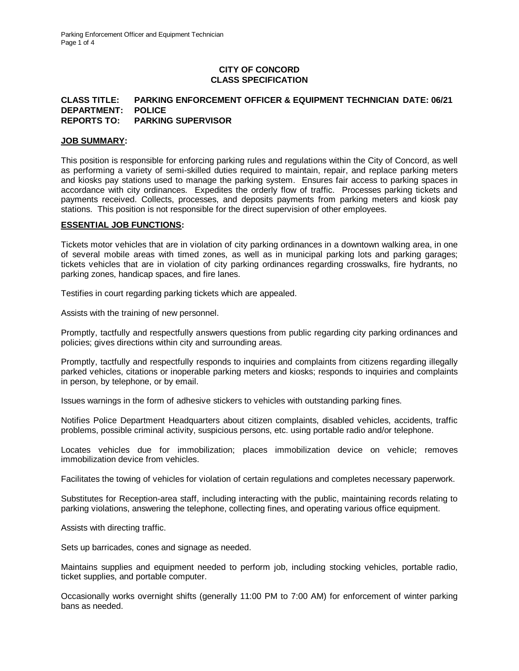# **CITY OF CONCORD CLASS SPECIFICATION**

#### **CLASS TITLE: PARKING ENFORCEMENT OFFICER & EQUIPMENT TECHNICIAN DATE: 06/21 DEPARTMENT: POLICE REPORTS TO: PARKING SUPERVISOR**

#### **JOB SUMMARY:**

This position is responsible for enforcing parking rules and regulations within the City of Concord, as well as performing a variety of semi-skilled duties required to maintain, repair, and replace parking meters and kiosks pay stations used to manage the parking system. Ensures fair access to parking spaces in accordance with city ordinances. Expedites the orderly flow of traffic. Processes parking tickets and payments received. Collects, processes, and deposits payments from parking meters and kiosk pay stations. This position is not responsible for the direct supervision of other employees.

## **ESSENTIAL JOB FUNCTIONS:**

Tickets motor vehicles that are in violation of city parking ordinances in a downtown walking area, in one of several mobile areas with timed zones, as well as in municipal parking lots and parking garages; tickets vehicles that are in violation of city parking ordinances regarding crosswalks, fire hydrants, no parking zones, handicap spaces, and fire lanes.

Testifies in court regarding parking tickets which are appealed.

Assists with the training of new personnel.

Promptly, tactfully and respectfully answers questions from public regarding city parking ordinances and policies; gives directions within city and surrounding areas.

Promptly, tactfully and respectfully responds to inquiries and complaints from citizens regarding illegally parked vehicles, citations or inoperable parking meters and kiosks; responds to inquiries and complaints in person, by telephone, or by email.

Issues warnings in the form of adhesive stickers to vehicles with outstanding parking fines.

Notifies Police Department Headquarters about citizen complaints, disabled vehicles, accidents, traffic problems, possible criminal activity, suspicious persons, etc. using portable radio and/or telephone.

Locates vehicles due for immobilization; places immobilization device on vehicle; removes immobilization device from vehicles.

Facilitates the towing of vehicles for violation of certain regulations and completes necessary paperwork.

Substitutes for Reception-area staff, including interacting with the public, maintaining records relating to parking violations, answering the telephone, collecting fines, and operating various office equipment.

Assists with directing traffic.

Sets up barricades, cones and signage as needed.

Maintains supplies and equipment needed to perform job, including stocking vehicles, portable radio, ticket supplies, and portable computer.

Occasionally works overnight shifts (generally 11:00 PM to 7:00 AM) for enforcement of winter parking bans as needed.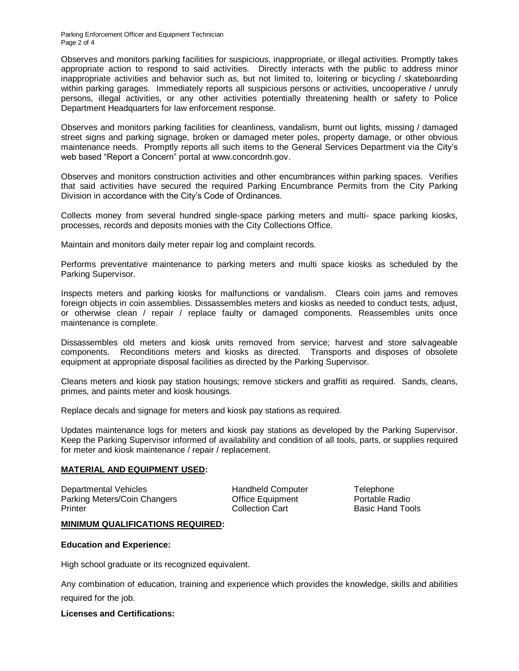Parking Enforcement Officer and Equipment Technician Page 2 of 4

Observes and monitors parking facilities for suspicious, inappropriate, or illegal activities. Promptly takes appropriate action to respond to said activities. Directly interacts with the public to address minor inappropriate activities and behavior such as, but not limited to, loitering or bicycling / skateboarding within parking garages. Immediately reports all suspicious persons or activities, uncooperative / unruly persons, illegal activities, or any other activities potentially threatening health or safety to Police Department Headquarters for law enforcement response.

Observes and monitors parking facilities for cleanliness, vandalism, burnt out lights, missing / damaged street signs and parking signage, broken or damaged meter poles, property damage, or other obvious maintenance needs. Promptly reports all such items to the General Services Department via the City's web based "Report a Concern" portal at www.concordnh.gov.

Observes and monitors construction activities and other encumbrances within parking spaces. Verifies that said activities have secured the required Parking Encumbrance Permits from the City Parking Division in accordance with the City's Code of Ordinances.

Collects money from several hundred single-space parking meters and multi- space parking kiosks, processes, records and deposits monies with the City Collections Office.

Maintain and monitors daily meter repair log and complaint records.

Performs preventative maintenance to parking meters and multi space kiosks as scheduled by the Parking Supervisor.

Inspects meters and parking kiosks for malfunctions or vandalism. Clears coin jams and removes foreign objects in coin assemblies. Dissassembles meters and kiosks as needed to conduct tests, adjust, or otherwise clean / repair / replace faulty or damaged components. Reassembles units once maintenance is complete.

Dissassembles old meters and kiosk units removed from service; harvest and store salvageable components. Reconditions meters and kiosks as directed. Transports and disposes of obsolete equipment at appropriate disposal facilities as directed by the Parking Supervisor.

Cleans meters and kiosk pay station housings; remove stickers and graffiti as required. Sands, cleans, primes, and paints meter and kiosk housings.

Replace decals and signage for meters and kiosk pay stations as required.

Updates maintenance logs for meters and kiosk pay stations as developed by the Parking Supervisor. Keep the Parking Supervisor informed of availability and condition of all tools, parts, or supplies required for meter and kiosk maintenance / repair / replacement.

#### **MATERIAL AND EQUIPMENT USED:**

Departmental Vehicles Handheld Computer Telephone Parking Meters/Coin Changers Office Equipment Portable Radio Printer **Collection Cart** Basic Hand Tools

## **MINIMUM QUALIFICATIONS REQUIRED:**

#### **Education and Experience:**

High school graduate or its recognized equivalent.

Any combination of education, training and experience which provides the knowledge, skills and abilities required for the job.

## **Licenses and Certifications:**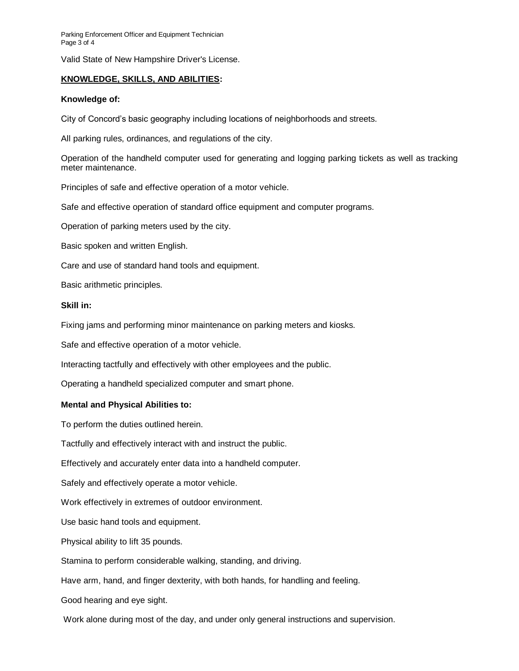Parking Enforcement Officer and Equipment Technician Page 3 of 4

Valid State of New Hampshire Driver's License.

# **KNOWLEDGE, SKILLS, AND ABILITIES:**

#### **Knowledge of:**

City of Concord's basic geography including locations of neighborhoods and streets.

All parking rules, ordinances, and regulations of the city.

Operation of the handheld computer used for generating and logging parking tickets as well as tracking meter maintenance.

Principles of safe and effective operation of a motor vehicle.

Safe and effective operation of standard office equipment and computer programs.

Operation of parking meters used by the city.

Basic spoken and written English.

Care and use of standard hand tools and equipment.

Basic arithmetic principles.

#### **Skill in:**

Fixing jams and performing minor maintenance on parking meters and kiosks.

Safe and effective operation of a motor vehicle.

Interacting tactfully and effectively with other employees and the public.

Operating a handheld specialized computer and smart phone.

## **Mental and Physical Abilities to:**

To perform the duties outlined herein.

Tactfully and effectively interact with and instruct the public.

Effectively and accurately enter data into a handheld computer.

Safely and effectively operate a motor vehicle.

Work effectively in extremes of outdoor environment.

Use basic hand tools and equipment.

Physical ability to lift 35 pounds.

Stamina to perform considerable walking, standing, and driving.

Have arm, hand, and finger dexterity, with both hands, for handling and feeling.

Good hearing and eye sight.

Work alone during most of the day, and under only general instructions and supervision.